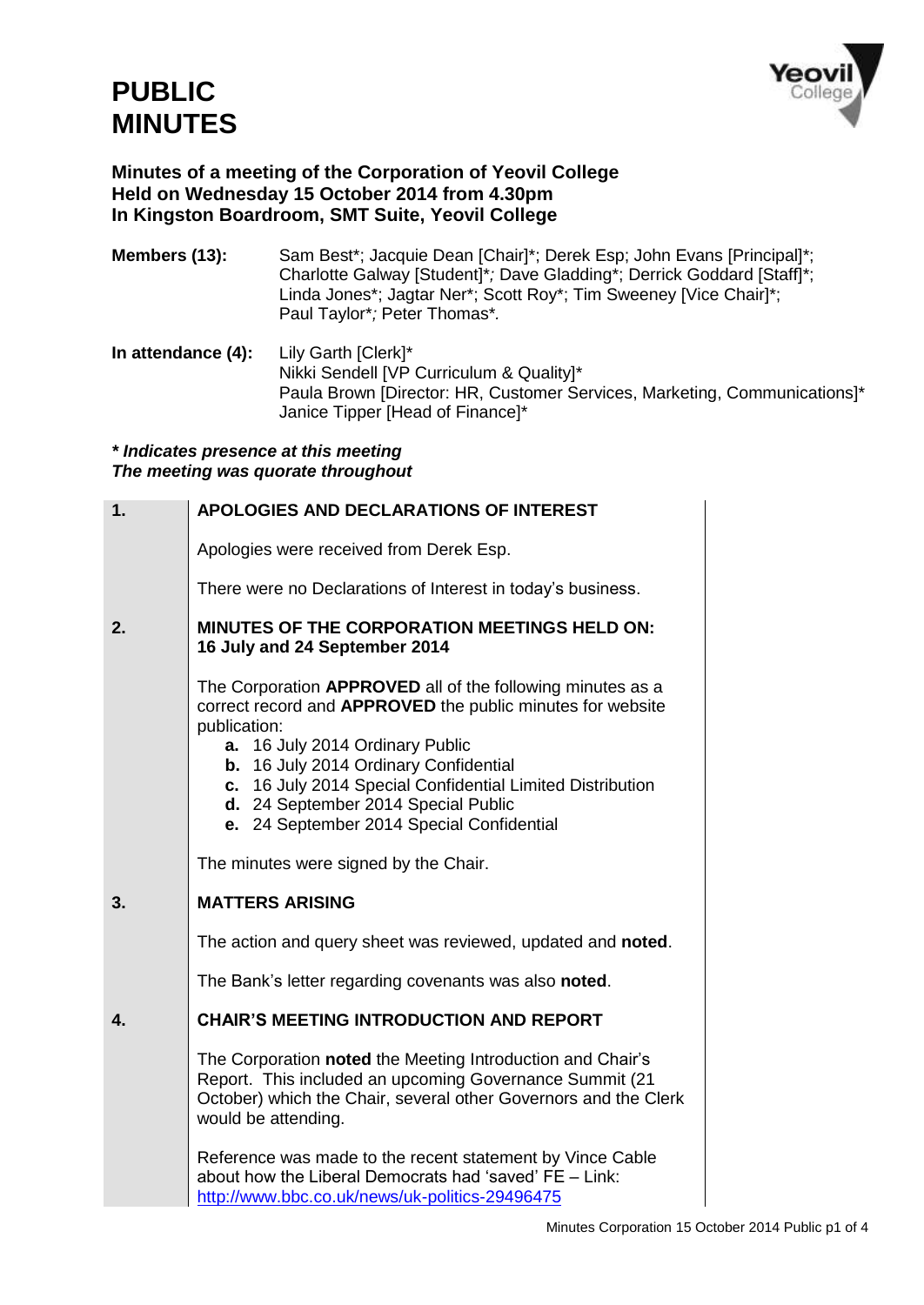

# **Minutes of a meeting of the Corporation of Yeovil College Held on Wednesday 15 October 2014 from 4.30pm In Kingston Boardroom, SMT Suite, Yeovil College**

- **Members (13):** Sam Best\*; Jacquie Dean [Chair]\*; Derek Esp; John Evans [Principal]\*; Charlotte Galway [Student]\**;* Dave Gladding\*; Derrick Goddard [Staff]\*; Linda Jones\*; Jagtar Ner\*; Scott Roy\*; Tim Sweeney [Vice Chair]\*; Paul Taylor\**;* Peter Thomas\**.*
- **In attendance (4):** Lily Garth [Clerk]\* Nikki Sendell [VP Curriculum & Quality]\* Paula Brown [Director: HR, Customer Services, Marketing, Communications]\* Janice Tipper [Head of Finance]\*

#### *\* Indicates presence at this meeting The meeting was quorate throughout*

| 1. | <b>APOLOGIES AND DECLARATIONS OF INTEREST</b>                                                                                                                                                                                                                                                                                                                            |
|----|--------------------------------------------------------------------------------------------------------------------------------------------------------------------------------------------------------------------------------------------------------------------------------------------------------------------------------------------------------------------------|
|    | Apologies were received from Derek Esp.                                                                                                                                                                                                                                                                                                                                  |
|    | There were no Declarations of Interest in today's business.                                                                                                                                                                                                                                                                                                              |
| 2. | <b>MINUTES OF THE CORPORATION MEETINGS HELD ON:</b><br>16 July and 24 September 2014                                                                                                                                                                                                                                                                                     |
|    | The Corporation APPROVED all of the following minutes as a<br>correct record and APPROVED the public minutes for website<br>publication:<br>16 July 2014 Ordinary Public<br>а.<br>b. 16 July 2014 Ordinary Confidential<br>c. 16 July 2014 Special Confidential Limited Distribution<br>d. 24 September 2014 Special Public<br>e. 24 September 2014 Special Confidential |
|    | The minutes were signed by the Chair.                                                                                                                                                                                                                                                                                                                                    |
| 3. | <b>MATTERS ARISING</b>                                                                                                                                                                                                                                                                                                                                                   |
|    | The action and query sheet was reviewed, updated and noted.                                                                                                                                                                                                                                                                                                              |
|    | The Bank's letter regarding covenants was also noted.                                                                                                                                                                                                                                                                                                                    |
| 4. | <b>CHAIR'S MEETING INTRODUCTION AND REPORT</b>                                                                                                                                                                                                                                                                                                                           |
|    | The Corporation noted the Meeting Introduction and Chair's<br>Report. This included an upcoming Governance Summit (21<br>October) which the Chair, several other Governors and the Clerk<br>would be attending.                                                                                                                                                          |
|    | Reference was made to the recent statement by Vince Cable<br>about how the Liberal Democrats had 'saved' FE - Link:<br>http://www.bbc.co.uk/news/uk-politics-29496475                                                                                                                                                                                                    |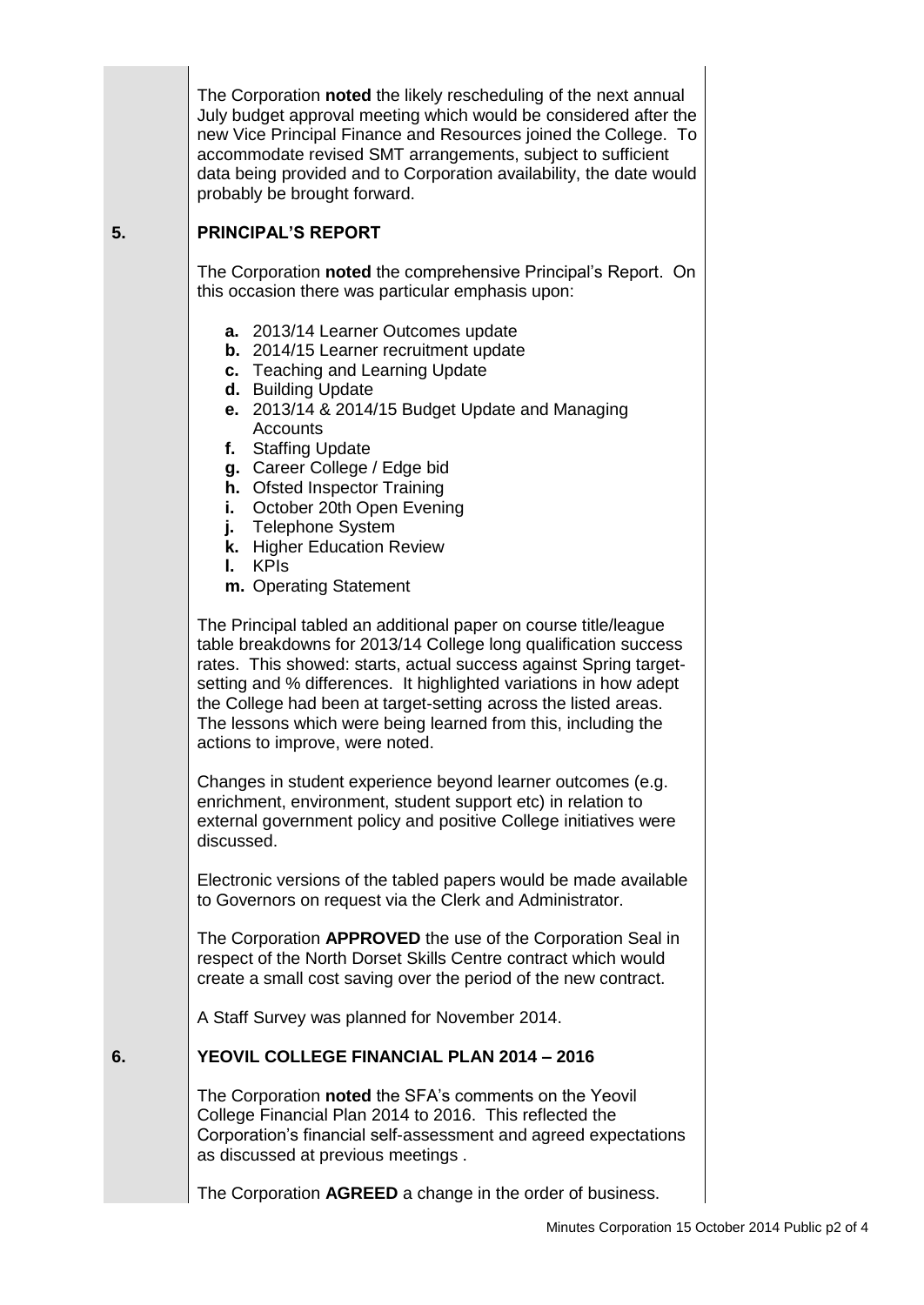The Corporation **noted** the likely rescheduling of the next annual July budget approval meeting which would be considered after the new Vice Principal Finance and Resources joined the College. To accommodate revised SMT arrangements, subject to sufficient data being provided and to Corporation availability, the date would probably be brought forward.

# **5. PRINCIPAL'S REPORT**

The Corporation **noted** the comprehensive Principal's Report. On this occasion there was particular emphasis upon:

- **a.** 2013/14 Learner Outcomes update
- **b.** 2014/15 Learner recruitment update
- **c.** Teaching and Learning Update
- **d.** Building Update
- **e.** 2013/14 & 2014/15 Budget Update and Managing **Accounts**
- **f.** Staffing Update
- **g.** Career College / Edge bid
- **h.** Ofsted Inspector Training
- **i.** October 20th Open Evening
- **j.** Telephone System
- **k.** Higher Education Review
- **l.** KPIs
- **m.** Operating Statement

The Principal tabled an additional paper on course title/league table breakdowns for 2013/14 College long qualification success rates. This showed: starts, actual success against Spring targetsetting and % differences. It highlighted variations in how adept the College had been at target-setting across the listed areas. The lessons which were being learned from this, including the actions to improve, were noted.

Changes in student experience beyond learner outcomes (e.g. enrichment, environment, student support etc) in relation to external government policy and positive College initiatives were discussed.

Electronic versions of the tabled papers would be made available to Governors on request via the Clerk and Administrator.

The Corporation **APPROVED** the use of the Corporation Seal in respect of the North Dorset Skills Centre contract which would create a small cost saving over the period of the new contract.

A Staff Survey was planned for November 2014.

### **6. YEOVIL COLLEGE FINANCIAL PLAN 2014 – 2016**

The Corporation **noted** the SFA's comments on the Yeovil College Financial Plan 2014 to 2016. This reflected the Corporation's financial self-assessment and agreed expectations as discussed at previous meetings .

The Corporation **AGREED** a change in the order of business.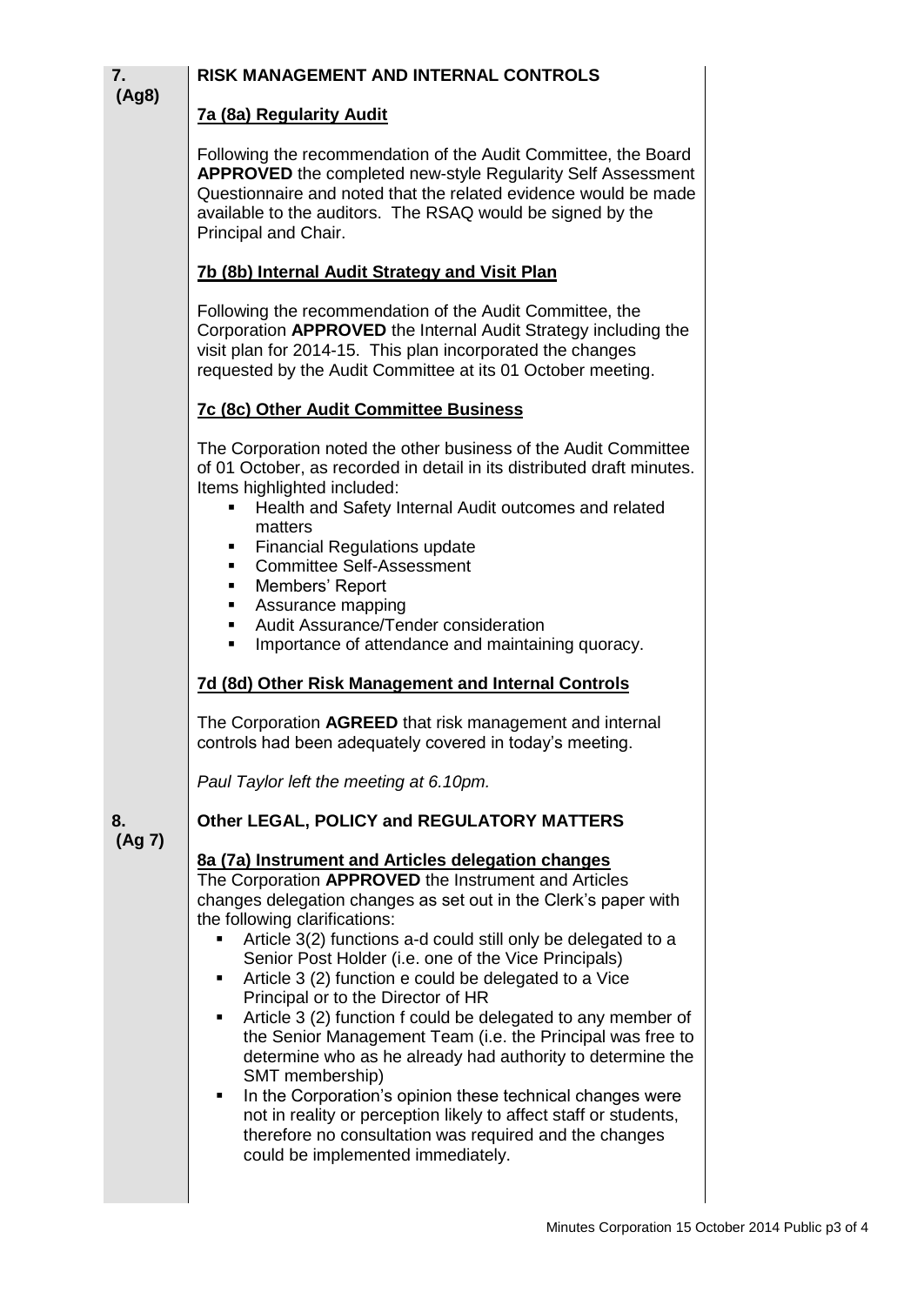| RISK MANAGEMENT AND INTERNAL CONTROLS                                                                                                                                                                                                                                                                                                                                                                                                                                                                                                                                                                                                                                                                                                                                                                                                                                                           |                                                                     |
|-------------------------------------------------------------------------------------------------------------------------------------------------------------------------------------------------------------------------------------------------------------------------------------------------------------------------------------------------------------------------------------------------------------------------------------------------------------------------------------------------------------------------------------------------------------------------------------------------------------------------------------------------------------------------------------------------------------------------------------------------------------------------------------------------------------------------------------------------------------------------------------------------|---------------------------------------------------------------------|
| 7a (8a) Regularity Audit                                                                                                                                                                                                                                                                                                                                                                                                                                                                                                                                                                                                                                                                                                                                                                                                                                                                        |                                                                     |
| Following the recommendation of the Audit Committee, the Board<br><b>APPROVED</b> the completed new-style Regularity Self Assessment<br>Questionnaire and noted that the related evidence would be made<br>available to the auditors. The RSAQ would be signed by the<br>Principal and Chair.                                                                                                                                                                                                                                                                                                                                                                                                                                                                                                                                                                                                   |                                                                     |
| 7b (8b) Internal Audit Strategy and Visit Plan                                                                                                                                                                                                                                                                                                                                                                                                                                                                                                                                                                                                                                                                                                                                                                                                                                                  |                                                                     |
| Following the recommendation of the Audit Committee, the<br>Corporation APPROVED the Internal Audit Strategy including the<br>visit plan for 2014-15. This plan incorporated the changes<br>requested by the Audit Committee at its 01 October meeting.                                                                                                                                                                                                                                                                                                                                                                                                                                                                                                                                                                                                                                         |                                                                     |
| <b>7c (8c) Other Audit Committee Business</b>                                                                                                                                                                                                                                                                                                                                                                                                                                                                                                                                                                                                                                                                                                                                                                                                                                                   |                                                                     |
| The Corporation noted the other business of the Audit Committee<br>of 01 October, as recorded in detail in its distributed draft minutes.                                                                                                                                                                                                                                                                                                                                                                                                                                                                                                                                                                                                                                                                                                                                                       |                                                                     |
| Health and Safety Internal Audit outcomes and related<br>٠<br>matters                                                                                                                                                                                                                                                                                                                                                                                                                                                                                                                                                                                                                                                                                                                                                                                                                           |                                                                     |
| <b>Financial Regulations update</b><br><b>Committee Self-Assessment</b>                                                                                                                                                                                                                                                                                                                                                                                                                                                                                                                                                                                                                                                                                                                                                                                                                         |                                                                     |
| Members' Report<br>п.<br>Assurance mapping                                                                                                                                                                                                                                                                                                                                                                                                                                                                                                                                                                                                                                                                                                                                                                                                                                                      |                                                                     |
| $\blacksquare$<br>Importance of attendance and maintaining quoracy.                                                                                                                                                                                                                                                                                                                                                                                                                                                                                                                                                                                                                                                                                                                                                                                                                             |                                                                     |
| 7d (8d) Other Risk Management and Internal Controls                                                                                                                                                                                                                                                                                                                                                                                                                                                                                                                                                                                                                                                                                                                                                                                                                                             |                                                                     |
| The Corporation AGREED that risk management and internal<br>controls had been adequately covered in today's meeting.                                                                                                                                                                                                                                                                                                                                                                                                                                                                                                                                                                                                                                                                                                                                                                            |                                                                     |
| Paul Taylor left the meeting at 6.10pm.                                                                                                                                                                                                                                                                                                                                                                                                                                                                                                                                                                                                                                                                                                                                                                                                                                                         |                                                                     |
| Other LEGAL, POLICY and REGULATORY MATTERS                                                                                                                                                                                                                                                                                                                                                                                                                                                                                                                                                                                                                                                                                                                                                                                                                                                      |                                                                     |
| 8a (7a) Instrument and Articles delegation changes<br>The Corporation APPROVED the Instrument and Articles<br>changes delegation changes as set out in the Clerk's paper with<br>the following clarifications:<br>Article 3(2) functions a-d could still only be delegated to a<br>Senior Post Holder (i.e. one of the Vice Principals)<br>Article 3 (2) function e could be delegated to a Vice<br>Principal or to the Director of HR<br>Article 3 (2) function f could be delegated to any member of<br>٠<br>the Senior Management Team (i.e. the Principal was free to<br>determine who as he already had authority to determine the<br>SMT membership)<br>In the Corporation's opinion these technical changes were<br>٠<br>not in reality or perception likely to affect staff or students,<br>therefore no consultation was required and the changes<br>could be implemented immediately. |                                                                     |
|                                                                                                                                                                                                                                                                                                                                                                                                                                                                                                                                                                                                                                                                                                                                                                                                                                                                                                 | Items highlighted included:<br>Audit Assurance/Tender consideration |